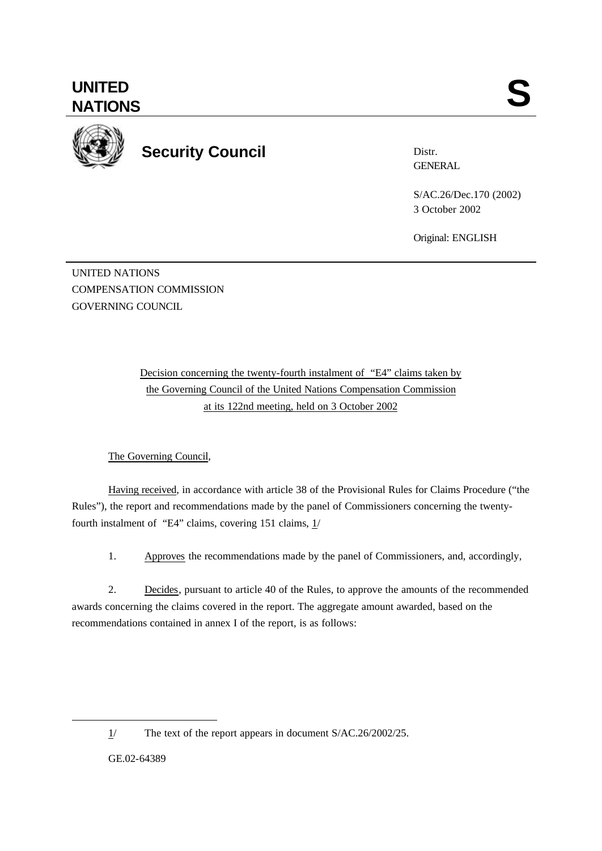

**Security Council**

Distr. **GENERAL** 

S/AC.26/Dec.170 (2002) 3 October 2002

Original: ENGLISH

UNITED NATIONS COMPENSATION COMMISSION GOVERNING COUNCIL

> Decision concerning the twenty-fourth instalment of "E4" claims taken by the Governing Council of the United Nations Compensation Commission at its 122nd meeting, held on 3 October 2002

The Governing Council,

Having received, in accordance with article 38 of the Provisional Rules for Claims Procedure ("the Rules"), the report and recommendations made by the panel of Commissioners concerning the twentyfourth instalment of "E4" claims, covering 151 claims,  $1/$ 

1. Approves the recommendations made by the panel of Commissioners, and, accordingly,

2. Decides, pursuant to article 40 of the Rules, to approve the amounts of the recommended awards concerning the claims covered in the report. The aggregate amount awarded, based on the recommendations contained in annex I of the report, is as follows:

GE.02-64389

l

<sup>1/</sup> The text of the report appears in document S/AC.26/2002/25.